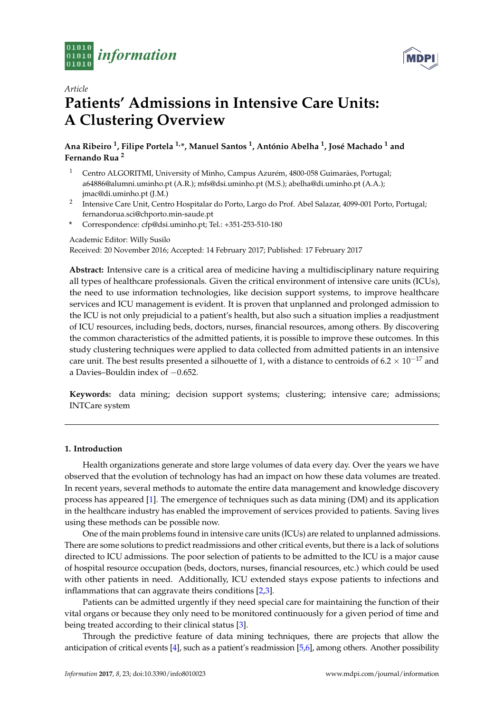



# *Article* **Patients' Admissions in Intensive Care Units: A Clustering Overview**

**Ana Ribeiro <sup>1</sup> , Filipe Portela 1,\*, Manuel Santos <sup>1</sup> , António Abelha <sup>1</sup> , José Machado <sup>1</sup> and Fernando Rua <sup>2</sup>**

- <sup>1</sup> Centro ALGORITMI, University of Minho, Campus Azurém, 4800-058 Guimarães, Portugal; a64886@alumni.uminho.pt (A.R.); mfs@dsi.uminho.pt (M.S.); abelha@di.uminho.pt (A.A.); jmac@di.uminho.pt (J.M.)
- 2 Intensive Care Unit, Centro Hospitalar do Porto, Largo do Prof. Abel Salazar, 4099-001 Porto, Portugal; fernandorua.sci@chporto.min-saude.pt
- **\*** Correspondence: cfp@dsi.uminho.pt; Tel.: +351-253-510-180

Academic Editor: Willy Susilo

Received: 20 November 2016; Accepted: 14 February 2017; Published: 17 February 2017

**Abstract:** Intensive care is a critical area of medicine having a multidisciplinary nature requiring all types of healthcare professionals. Given the critical environment of intensive care units (ICUs), the need to use information technologies, like decision support systems, to improve healthcare services and ICU management is evident. It is proven that unplanned and prolonged admission to the ICU is not only prejudicial to a patient's health, but also such a situation implies a readjustment of ICU resources, including beds, doctors, nurses, financial resources, among others. By discovering the common characteristics of the admitted patients, it is possible to improve these outcomes. In this study clustering techniques were applied to data collected from admitted patients in an intensive care unit. The best results presented a silhouette of 1, with a distance to centroids of 6.2  $\times$  10<sup>-17</sup> and a Davies–Bouldin index of −0.652.

**Keywords:** data mining; decision support systems; clustering; intensive care; admissions; INTCare system

# **1. Introduction**

Health organizations generate and store large volumes of data every day. Over the years we have observed that the evolution of technology has had an impact on how these data volumes are treated. In recent years, several methods to automate the entire data management and knowledge discovery process has appeared [\[1\]](#page-9-0). The emergence of techniques such as data mining (DM) and its application in the healthcare industry has enabled the improvement of services provided to patients. Saving lives using these methods can be possible now.

One of the main problems found in intensive care units (ICUs) are related to unplanned admissions. There are some solutions to predict readmissions and other critical events, but there is a lack of solutions directed to ICU admissions. The poor selection of patients to be admitted to the ICU is a major cause of hospital resource occupation (beds, doctors, nurses, financial resources, etc.) which could be used with other patients in need. Additionally, ICU extended stays expose patients to infections and inflammations that can aggravate theirs conditions [\[2](#page-10-0)[,3\]](#page-10-1).

Patients can be admitted urgently if they need special care for maintaining the function of their vital organs or because they only need to be monitored continuously for a given period of time and being treated according to their clinical status [\[3\]](#page-10-1).

Through the predictive feature of data mining techniques, there are projects that allow the anticipation of critical events [\[4\]](#page-10-2), such as a patient's readmission [\[5,](#page-10-3)[6\]](#page-10-4), among others. Another possibility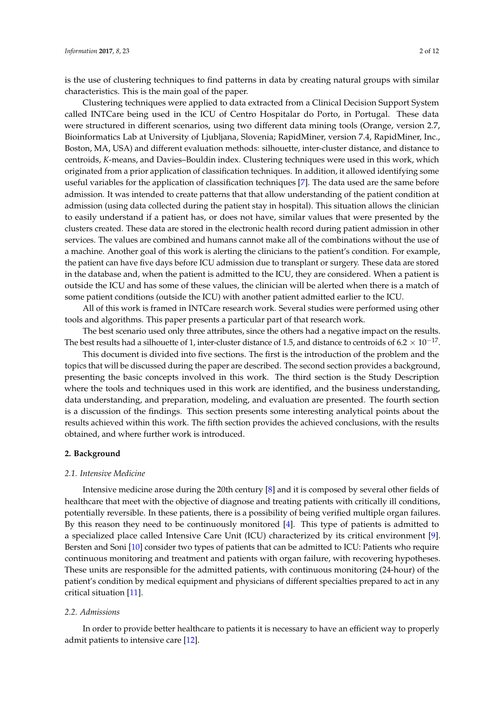is the use of clustering techniques to find patterns in data by creating natural groups with similar characteristics. This is the main goal of the paper.

Clustering techniques were applied to data extracted from a Clinical Decision Support System called INTCare being used in the ICU of Centro Hospitalar do Porto, in Portugal. These data were structured in different scenarios, using two different data mining tools (Orange, version 2.7, Bioinformatics Lab at University of Ljubljana, Slovenia; RapidMiner, version 7.4, RapidMiner, Inc., Boston, MA, USA) and different evaluation methods: silhouette, inter-cluster distance, and distance to centroids, *K*-means, and Davies–Bouldin index. Clustering techniques were used in this work, which originated from a prior application of classification techniques. In addition, it allowed identifying some useful variables for the application of classification techniques [\[7\]](#page-10-5). The data used are the same before admission. It was intended to create patterns that that allow understanding of the patient condition at admission (using data collected during the patient stay in hospital). This situation allows the clinician to easily understand if a patient has, or does not have, similar values that were presented by the clusters created. These data are stored in the electronic health record during patient admission in other services. The values are combined and humans cannot make all of the combinations without the use of a machine. Another goal of this work is alerting the clinicians to the patient's condition. For example, the patient can have five days before ICU admission due to transplant or surgery. These data are stored in the database and, when the patient is admitted to the ICU, they are considered. When a patient is outside the ICU and has some of these values, the clinician will be alerted when there is a match of some patient conditions (outside the ICU) with another patient admitted earlier to the ICU.

All of this work is framed in INTCare research work. Several studies were performed using other tools and algorithms. This paper presents a particular part of that research work.

The best scenario used only three attributes, since the others had a negative impact on the results. The best results had a silhouette of 1, inter-cluster distance of 1.5, and distance to centroids of 6.2  $\times$   $10^{-17}$ .

This document is divided into five sections. The first is the introduction of the problem and the topics that will be discussed during the paper are described. The second section provides a background, presenting the basic concepts involved in this work. The third section is the Study Description where the tools and techniques used in this work are identified, and the business understanding, data understanding, and preparation, modeling, and evaluation are presented. The fourth section is a discussion of the findings. This section presents some interesting analytical points about the results achieved within this work. The fifth section provides the achieved conclusions, with the results obtained, and where further work is introduced.

#### **2. Background**

#### *2.1. Intensive Medicine*

Intensive medicine arose during the 20th century [\[8\]](#page-10-6) and it is composed by several other fields of healthcare that meet with the objective of diagnose and treating patients with critically ill conditions, potentially reversible. In these patients, there is a possibility of being verified multiple organ failures. By this reason they need to be continuously monitored [\[4\]](#page-10-2). This type of patients is admitted to a specialized place called Intensive Care Unit (ICU) characterized by its critical environment [\[9\]](#page-10-7). Bersten and Soni [\[10\]](#page-10-8) consider two types of patients that can be admitted to ICU: Patients who require continuous monitoring and treatment and patients with organ failure, with recovering hypotheses. These units are responsible for the admitted patients, with continuous monitoring (24-hour) of the patient's condition by medical equipment and physicians of different specialties prepared to act in any critical situation [\[11\]](#page-10-9).

#### *2.2. Admissions*

In order to provide better healthcare to patients it is necessary to have an efficient way to properly admit patients to intensive care [\[12\]](#page-10-10).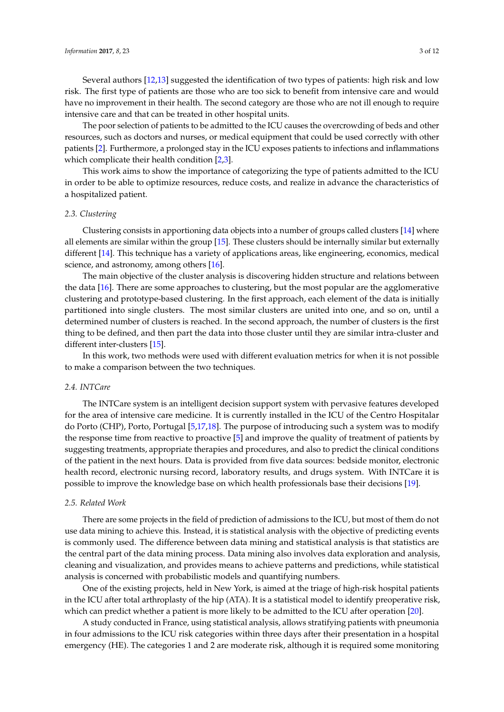Several authors [\[12](#page-10-10)[,13\]](#page-10-11) suggested the identification of two types of patients: high risk and low risk. The first type of patients are those who are too sick to benefit from intensive care and would have no improvement in their health. The second category are those who are not ill enough to require intensive care and that can be treated in other hospital units.

The poor selection of patients to be admitted to the ICU causes the overcrowding of beds and other resources, such as doctors and nurses, or medical equipment that could be used correctly with other patients [\[2\]](#page-10-0). Furthermore, a prolonged stay in the ICU exposes patients to infections and inflammations which complicate their health condition [\[2,](#page-10-0)[3\]](#page-10-1).

This work aims to show the importance of categorizing the type of patients admitted to the ICU in order to be able to optimize resources, reduce costs, and realize in advance the characteristics of a hospitalized patient.

#### *2.3. Clustering*

Clustering consists in apportioning data objects into a number of groups called clusters [\[14\]](#page-10-12) where all elements are similar within the group [\[15\]](#page-10-13). These clusters should be internally similar but externally different [\[14\]](#page-10-12). This technique has a variety of applications areas, like engineering, economics, medical science, and astronomy, among others [\[16\]](#page-10-14).

The main objective of the cluster analysis is discovering hidden structure and relations between the data [\[16\]](#page-10-14). There are some approaches to clustering, but the most popular are the agglomerative clustering and prototype-based clustering. In the first approach, each element of the data is initially partitioned into single clusters. The most similar clusters are united into one, and so on, until a determined number of clusters is reached. In the second approach, the number of clusters is the first thing to be defined, and then part the data into those cluster until they are similar intra-cluster and different inter-clusters [\[15\]](#page-10-13).

In this work, two methods were used with different evaluation metrics for when it is not possible to make a comparison between the two techniques.

## *2.4. INTCare*

The INTCare system is an intelligent decision support system with pervasive features developed for the area of intensive care medicine. It is currently installed in the ICU of the Centro Hospitalar do Porto (CHP), Porto, Portugal [\[5](#page-10-3)[,17](#page-10-15)[,18\]](#page-10-16). The purpose of introducing such a system was to modify the response time from reactive to proactive [\[5\]](#page-10-3) and improve the quality of treatment of patients by suggesting treatments, appropriate therapies and procedures, and also to predict the clinical conditions of the patient in the next hours. Data is provided from five data sources: bedside monitor, electronic health record, electronic nursing record, laboratory results, and drugs system. With INTCare it is possible to improve the knowledge base on which health professionals base their decisions [\[19\]](#page-10-17).

# *2.5. Related Work*

There are some projects in the field of prediction of admissions to the ICU, but most of them do not use data mining to achieve this. Instead, it is statistical analysis with the objective of predicting events is commonly used. The difference between data mining and statistical analysis is that statistics are the central part of the data mining process. Data mining also involves data exploration and analysis, cleaning and visualization, and provides means to achieve patterns and predictions, while statistical analysis is concerned with probabilistic models and quantifying numbers.

One of the existing projects, held in New York, is aimed at the triage of high-risk hospital patients in the ICU after total arthroplasty of the hip (ATA). It is a statistical model to identify preoperative risk, which can predict whether a patient is more likely to be admitted to the ICU after operation [\[20\]](#page-10-18).

A study conducted in France, using statistical analysis, allows stratifying patients with pneumonia in four admissions to the ICU risk categories within three days after their presentation in a hospital emergency (HE). The categories 1 and 2 are moderate risk, although it is required some monitoring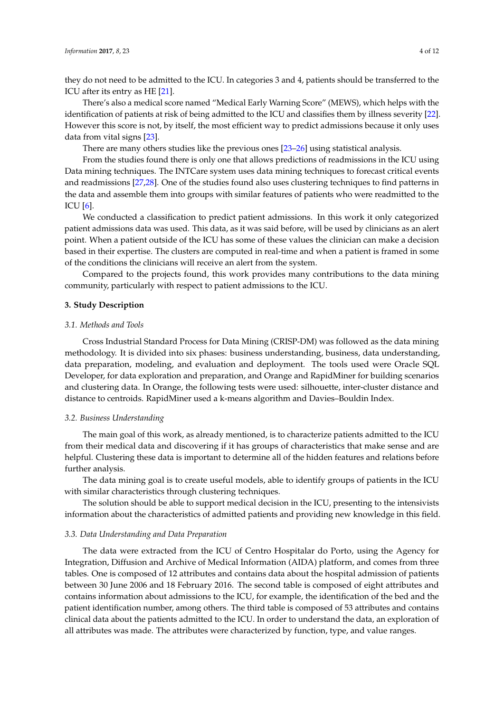they do not need to be admitted to the ICU. In categories 3 and 4, patients should be transferred to the ICU after its entry as HE [\[21\]](#page-10-19).

There's also a medical score named "Medical Early Warning Score" (MEWS), which helps with the identification of patients at risk of being admitted to the ICU and classifies them by illness severity [\[22\]](#page-10-20). However this score is not, by itself, the most efficient way to predict admissions because it only uses data from vital signs [\[23\]](#page-11-0).

There are many others studies like the previous ones [\[23](#page-11-0)[–26\]](#page-11-1) using statistical analysis.

From the studies found there is only one that allows predictions of readmissions in the ICU using Data mining techniques. The INTCare system uses data mining techniques to forecast critical events and readmissions [\[27,](#page-11-2)[28\]](#page-11-3). One of the studies found also uses clustering techniques to find patterns in the data and assemble them into groups with similar features of patients who were readmitted to the ICU [\[6\]](#page-10-4).

We conducted a classification to predict patient admissions. In this work it only categorized patient admissions data was used. This data, as it was said before, will be used by clinicians as an alert point. When a patient outside of the ICU has some of these values the clinician can make a decision based in their expertise. The clusters are computed in real-time and when a patient is framed in some of the conditions the clinicians will receive an alert from the system.

Compared to the projects found, this work provides many contributions to the data mining community, particularly with respect to patient admissions to the ICU.

#### **3. Study Description**

#### *3.1. Methods and Tools*

Cross Industrial Standard Process for Data Mining (CRISP-DM) was followed as the data mining methodology. It is divided into six phases: business understanding, business, data understanding, data preparation, modeling, and evaluation and deployment. The tools used were Oracle SQL Developer, for data exploration and preparation, and Orange and RapidMiner for building scenarios and clustering data. In Orange, the following tests were used: silhouette, inter-cluster distance and distance to centroids. RapidMiner used a k-means algorithm and Davies–Bouldin Index.

#### *3.2. Business Understanding*

The main goal of this work, as already mentioned, is to characterize patients admitted to the ICU from their medical data and discovering if it has groups of characteristics that make sense and are helpful. Clustering these data is important to determine all of the hidden features and relations before further analysis.

The data mining goal is to create useful models, able to identify groups of patients in the ICU with similar characteristics through clustering techniques.

The solution should be able to support medical decision in the ICU, presenting to the intensivists information about the characteristics of admitted patients and providing new knowledge in this field.

#### *3.3. Data Understanding and Data Preparation*

The data were extracted from the ICU of Centro Hospitalar do Porto, using the Agency for Integration, Diffusion and Archive of Medical Information (AIDA) platform, and comes from three tables. One is composed of 12 attributes and contains data about the hospital admission of patients between 30 June 2006 and 18 February 2016. The second table is composed of eight attributes and contains information about admissions to the ICU, for example, the identification of the bed and the patient identification number, among others. The third table is composed of 53 attributes and contains clinical data about the patients admitted to the ICU. In order to understand the data, an exploration of all attributes was made. The attributes were characterized by function, type, and value ranges.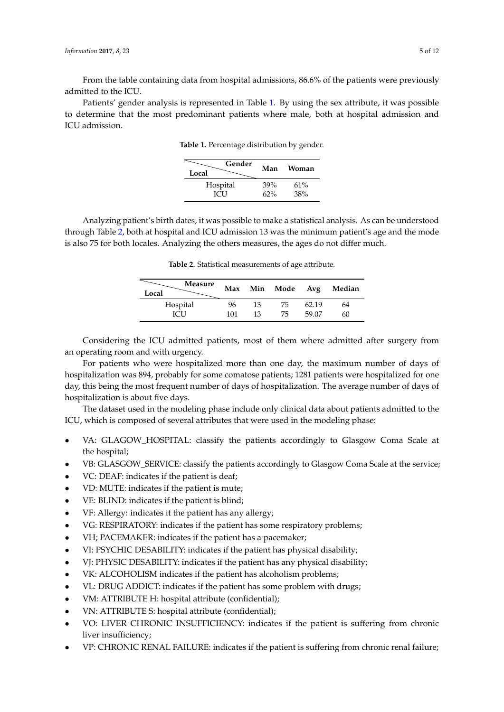From the table containing data from hospital admissions, 86.6% of the patients were previously admitted to the ICU.

<span id="page-4-0"></span>Patients' gender analysis is represented in Table [1.](#page-4-0) By using the sex attribute, it was possible to determine that the most predominant patients where male, both at hospital admission and ICU admission.

**Table 1.** Percentage distribution by gender.

| Gender<br>Local | Man | <b>Woman</b> |
|-----------------|-----|--------------|
| Hospital        | 39% | 61%          |
| <b>ICI</b> I    | 62% | 38%          |

<span id="page-4-1"></span>Analyzing patient's birth dates, it was possible to make a statistical analysis. As can be understood through Table [2,](#page-4-1) both at hospital and ICU admission 13 was the minimum patient's age and the mode is also 75 for both locales. Analyzing the others measures, the ages do not differ much.

**Table 2.** Statistical measurements of age attribute.

| <b>Measure</b><br>Local | Max |    | Min Mode Avg |       | Median |
|-------------------------|-----|----|--------------|-------|--------|
| Hospital                | 96  | 13 | 75           | 62.19 | 64     |
| ICU                     | 101 | 13 | 75           | 59.07 | 60     |

Considering the ICU admitted patients, most of them where admitted after surgery from an operating room and with urgency.

For patients who were hospitalized more than one day, the maximum number of days of hospitalization was 894, probably for some comatose patients; 1281 patients were hospitalized for one day, this being the most frequent number of days of hospitalization. The average number of days of hospitalization is about five days.

The dataset used in the modeling phase include only clinical data about patients admitted to the ICU, which is composed of several attributes that were used in the modeling phase:

- VA: GLAGOW\_HOSPITAL: classify the patients accordingly to Glasgow Coma Scale at the hospital;
- VB: GLASGOW\_SERVICE: classify the patients accordingly to Glasgow Coma Scale at the service;
- VC: DEAF: indicates if the patient is deaf;
- VD: MUTE: indicates if the patient is mute;
- VE: BLIND: indicates if the patient is blind;
- VF: Allergy: indicates it the patient has any allergy;
- VG: RESPIRATORY: indicates if the patient has some respiratory problems;
- VH; PACEMAKER: indicates if the patient has a pacemaker;
- VI: PSYCHIC DESABILITY: indicates if the patient has physical disability;
- VJ: PHYSIC DESABILITY: indicates if the patient has any physical disability;
- VK: ALCOHOLISM indicates if the patient has alcoholism problems;
- VL: DRUG ADDICT: indicates if the patient has some problem with drugs;
- VM: ATTRIBUTE H: hospital attribute (confidential);
- VN: ATTRIBUTE S: hospital attribute (confidential);
- VO: LIVER CHRONIC INSUFFICIENCY: indicates if the patient is suffering from chronic liver insufficiency;
- VP: CHRONIC RENAL FAILURE: indicates if the patient is suffering from chronic renal failure;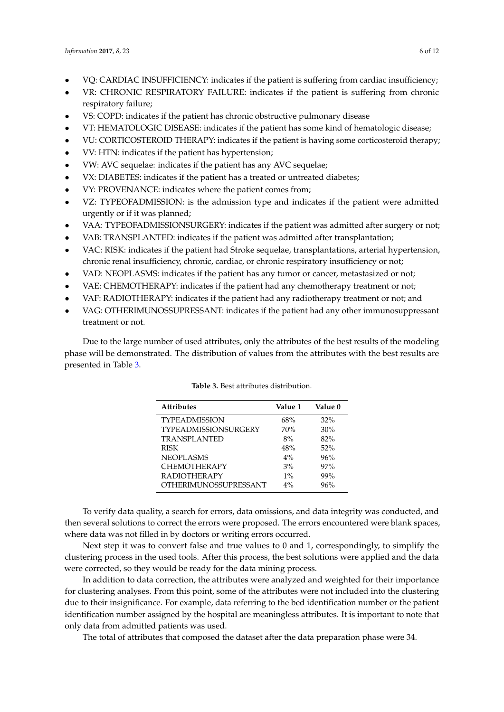- VQ: CARDIAC INSUFFICIENCY: indicates if the patient is suffering from cardiac insufficiency;
- VR: CHRONIC RESPIRATORY FAILURE: indicates if the patient is suffering from chronic respiratory failure;
- VS: COPD: indicates if the patient has chronic obstructive pulmonary disease
- VT: HEMATOLOGIC DISEASE: indicates if the patient has some kind of hematologic disease;
- VU: CORTICOSTEROID THERAPY: indicates if the patient is having some corticosteroid therapy;
- VV: HTN: indicates if the patient has hypertension;
- VW: AVC sequelae: indicates if the patient has any AVC sequelae;
- VX: DIABETES: indicates if the patient has a treated or untreated diabetes;
- VY: PROVENANCE: indicates where the patient comes from;
- VZ: TYPEOFADMISSION: is the admission type and indicates if the patient were admitted urgently or if it was planned;
- VAA: TYPEOFADMISSIONSURGERY: indicates if the patient was admitted after surgery or not;
- VAB: TRANSPLANTED: indicates if the patient was admitted after transplantation;
- VAC: RISK: indicates if the patient had Stroke sequelae, transplantations, arterial hypertension, chronic renal insufficiency, chronic, cardiac, or chronic respiratory insufficiency or not;
- VAD: NEOPLASMS: indicates if the patient has any tumor or cancer, metastasized or not;
- VAE: CHEMOTHERAPY: indicates if the patient had any chemotherapy treatment or not;
- VAF: RADIOTHERAPY: indicates if the patient had any radiotherapy treatment or not; and
- VAG: OTHERIMUNOSSUPRESSANT: indicates if the patient had any other immunosuppressant treatment or not.

<span id="page-5-0"></span>Due to the large number of used attributes, only the attributes of the best results of the modeling phase will be demonstrated. The distribution of values from the attributes with the best results are presented in Table [3.](#page-5-0)

| <b>Attributes</b>            | Value 1 | Value 0 |
|------------------------------|---------|---------|
| <b>TYPEADMISSION</b>         | 68%     | 32%     |
| <b>TYPEADMISSIONSURGERY</b>  | 70%     | 30%     |
| <b>TRANSPLANTED</b>          | 8%      | 82%     |
| <b>RISK</b>                  | 48%     | 52%     |
| NEOPLASMS                    | $4\%$   | 96%     |
| <b>CHEMOTHERAPY</b>          | 3%      | 97%     |
| <b>RADIOTHERAPY</b>          | $1\%$   | 99%     |
| <b>OTHERIMUNOSSUPRESSANT</b> | $4\%$   | 96%     |
|                              |         |         |

**Table 3.** Best attributes distribution.

To verify data quality, a search for errors, data omissions, and data integrity was conducted, and then several solutions to correct the errors were proposed. The errors encountered were blank spaces, where data was not filled in by doctors or writing errors occurred.

Next step it was to convert false and true values to 0 and 1, correspondingly, to simplify the clustering process in the used tools. After this process, the best solutions were applied and the data were corrected, so they would be ready for the data mining process.

In addition to data correction, the attributes were analyzed and weighted for their importance for clustering analyses. From this point, some of the attributes were not included into the clustering due to their insignificance. For example, data referring to the bed identification number or the patient identification number assigned by the hospital are meaningless attributes. It is important to note that only data from admitted patients was used.

The total of attributes that composed the dataset after the data preparation phase were 34.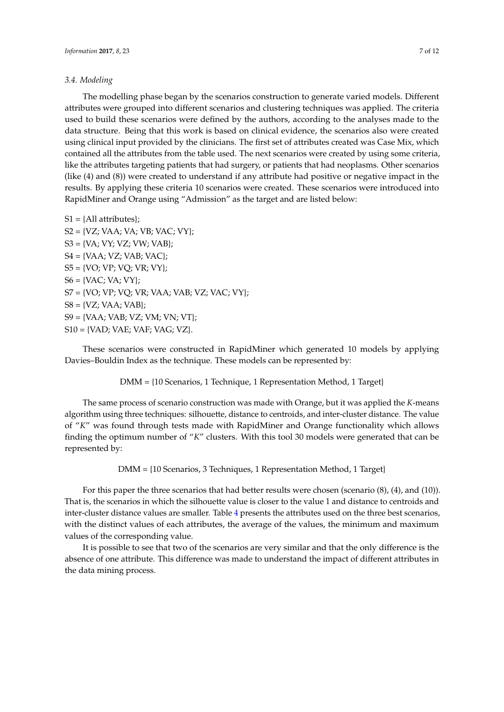# *3.4. Modeling*

The modelling phase began by the scenarios construction to generate varied models. Different attributes were grouped into different scenarios and clustering techniques was applied. The criteria used to build these scenarios were defined by the authors, according to the analyses made to the data structure. Being that this work is based on clinical evidence, the scenarios also were created using clinical input provided by the clinicians. The first set of attributes created was Case Mix, which contained all the attributes from the table used. The next scenarios were created by using some criteria, like the attributes targeting patients that had surgery, or patients that had neoplasms. Other scenarios (like (4) and (8)) were created to understand if any attribute had positive or negative impact in the results. By applying these criteria 10 scenarios were created. These scenarios were introduced into RapidMiner and Orange using "Admission" as the target and are listed below:

 $S1 = \{All attributes\};$  $S2 = \{VZ; VAA; VA; VB; VAC; VY\};$  $S3 = \{VA; VY; VZ; VW; VAB\};$  $S4 = \{VAA; VZ; VAB; VAC\};$  $SS = \{VO; VP; VO; VR; VY\};$  $S6 = \{VAC; VA; VY\};$ S7 = {VO; VP; VQ; VR; VAA; VAB; VZ; VAC; VY};  $SS = \{VZ; VAA; VAB\};$ S9 = {VAA; VAB; VZ; VM; VN; VT}; S10 = {VAD; VAE; VAF; VAG; VZ}.

These scenarios were constructed in RapidMiner which generated 10 models by applying Davies–Bouldin Index as the technique. These models can be represented by:

DMM = {10 Scenarios, 1 Technique, 1 Representation Method, 1 Target}

The same process of scenario construction was made with Orange, but it was applied the *K*-means algorithm using three techniques: silhouette, distance to centroids, and inter-cluster distance. The value of "*K*" was found through tests made with RapidMiner and Orange functionality which allows finding the optimum number of "*K*" clusters. With this tool 30 models were generated that can be represented by:

DMM = {10 Scenarios, 3 Techniques, 1 Representation Method, 1 Target}

For this paper the three scenarios that had better results were chosen (scenario (8), (4), and (10)). That is, the scenarios in which the silhouette value is closer to the value 1 and distance to centroids and inter-cluster distance values are smaller. Table [4](#page-7-0) presents the attributes used on the three best scenarios, with the distinct values of each attributes, the average of the values, the minimum and maximum values of the corresponding value.

It is possible to see that two of the scenarios are very similar and that the only difference is the absence of one attribute. This difference was made to understand the impact of different attributes in the data mining process.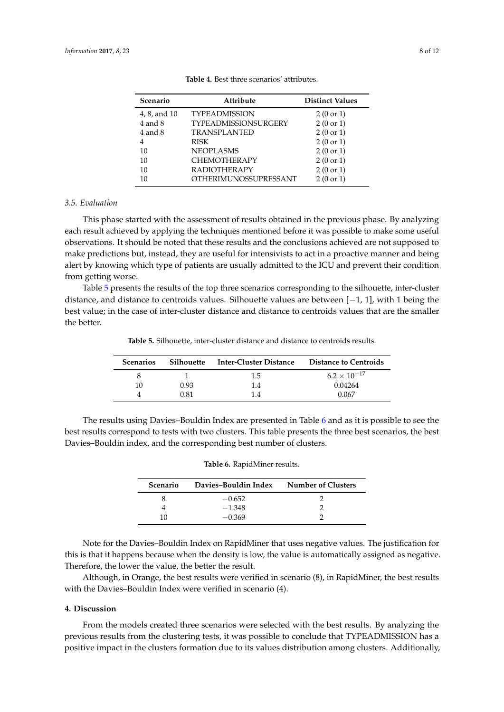<span id="page-7-0"></span>

| <b>Scenario</b> | Attribute                    | <b>Distinct Values</b> |
|-----------------|------------------------------|------------------------|
| 4, 8, and 10    | <b>TYPEADMISSION</b>         | $2(0 \text{ or } 1)$   |
| $4$ and $8$     | TYPEADMISSIONSURGERY         | $2(0 \text{ or } 1)$   |
| $4$ and $8$     | <b>TRANSPLANTED</b>          | $2(0 \text{ or } 1)$   |
|                 | <b>RISK</b>                  | $2(0 \text{ or } 1)$   |
| 10              | <b>NEOPLASMS</b>             | $2(0 \text{ or } 1)$   |
| 10              | <b>CHEMOTHERAPY</b>          | $2(0 \text{ or } 1)$   |
| 10              | <b>RADIOTHERAPY</b>          | $2(0 \text{ or } 1)$   |
| 10              | <b>OTHERIMUNOSSUPRESSANT</b> | $2(0 \text{ or } 1)$   |
|                 |                              |                        |

**Table 4.** Best three scenarios' attributes.

#### *3.5. Evaluation*

This phase started with the assessment of results obtained in the previous phase. By analyzing each result achieved by applying the techniques mentioned before it was possible to make some useful observations. It should be noted that these results and the conclusions achieved are not supposed to make predictions but, instead, they are useful for intensivists to act in a proactive manner and being alert by knowing which type of patients are usually admitted to the ICU and prevent their condition from getting worse.

<span id="page-7-1"></span>Table [5](#page-7-1) presents the results of the top three scenarios corresponding to the silhouette, inter-cluster distance, and distance to centroids values. Silhouette values are between [−1, 1], with 1 being the best value; in the case of inter-cluster distance and distance to centroids values that are the smaller the better.

**Table 5.** Silhouette, inter-cluster distance and distance to centroids results.

| <b>Scenarios</b> | Silhouette | Inter-Cluster Distance | <b>Distance to Centroids</b> |
|------------------|------------|------------------------|------------------------------|
| 8                |            | 1.5                    | $6.2\times10^{-17}$          |
| 10               | 0.93       | 1.4                    | 0.04264                      |
| 4                | 0.81       | 14                     | 0.067                        |

<span id="page-7-2"></span>The results using Davies–Bouldin Index are presented in Table [6](#page-7-2) and as it is possible to see the best results correspond to tests with two clusters. This table presents the three best scenarios, the best Davies–Bouldin index, and the corresponding best number of clusters.

| <b>Scenario</b> | Davies-Bouldin Index | <b>Number of Clusters</b> |
|-----------------|----------------------|---------------------------|
|                 | $-0.652$             |                           |
|                 | $-1.348$             |                           |
| 10              | $-0.369$             |                           |

**Table 6.** RapidMiner results.

Note for the Davies–Bouldin Index on RapidMiner that uses negative values. The justification for this is that it happens because when the density is low, the value is automatically assigned as negative. Therefore, the lower the value, the better the result.

Although, in Orange, the best results were verified in scenario (8), in RapidMiner, the best results with the Davies–Bouldin Index were verified in scenario (4).

# **4. Discussion**

From the models created three scenarios were selected with the best results. By analyzing the previous results from the clustering tests, it was possible to conclude that TYPEADMISSION has a positive impact in the clusters formation due to its values distribution among clusters. Additionally,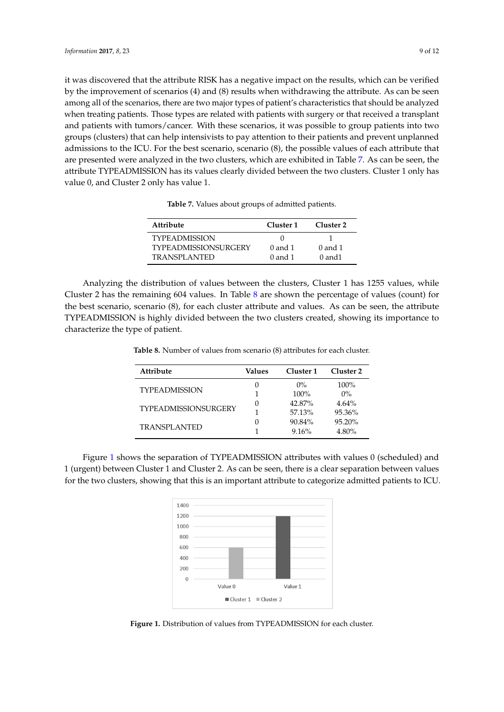it was discovered that the attribute RISK has a negative impact on the results, which can be verified by the improvement of scenarios  $(4)$  and  $(8)$  results when withdrawing the attribute. As can be seen among all of the scenarios, there are two major types of patient's characteristics that should be analyzed when treating patients. Those types are related with patients with surgery or that received a transplant and patients with tumors/cancer. With these scenarios, it was possible to group patients into two groups (clusters) that can help intensivists to pay attention to their patients and prevent unplanned admissions to the ICU. For the best scenario, scenario  $(8)$ , the possible values of each attribute that are presented were analyzed in the two clusters, which are exhibited in Table [7.](#page-8-0) As can be seen, the attribute TYPEADMISSION has its values clearly divided between the two clusters. Cluster 1 only has value 0, and Cluster 2 only has value 1.

| Attribute                   | Cluster 1 | Cluster 2   |
|-----------------------------|-----------|-------------|
| <b>TYPEADMISSION</b>        |           |             |
| <b>TYPEADMISSIONSURGERY</b> | $0$ and 1 | $0$ and 1   |
| <b>TRANSPLANTED</b>         | $0$ and 1 | $0$ and $1$ |

**Table 7.** Values about groups of admitted patients.

<span id="page-8-0"></span>Analyzing the distribution of values between the clusters, Cluster 1 has 1255 values, while Cluster 2 has the remaining 604 values. In Table  $8$  are shown the percentage of values (count) for the best scenario, scenario (8), for each cluster attribute and values. As can be seen, the attribute TYPEADMISSION is highly divided between the two clusters created, showing its importance to characterize the type of patient. **Table 8.** Number of values from scenario (8) attributes for each cluster.

| <b>Attribute</b>     | Values | Cluster 1 | Cluster 2 |
|----------------------|--------|-----------|-----------|
| <b>TYPEADMISSION</b> |        | $0\%$     | 100%      |
|                      |        | 100%      | $0\%$     |
| TYPEADMISSIONSURGERY |        | $42.87\%$ | 4.64%     |
|                      |        | 57.13%    | 95.36%    |
|                      |        | 90.84%    | $95.20\%$ |
| <b>TRANSPLANTED</b>  |        | 9.16%     | $4.80\%$  |

<span id="page-8-1"></span>**Table 8.** Number of values from scenario (8) attributes for each cluster.

<span id="page-8-2"></span>Figure [1](#page-8-2) shows the separation of TYPEADMISSION attributes with values 0 (scheduled) and 1 (urgent) between Cluster 1 and Cluster 2. As can be seen, there is a clear separation between values (urgent) between Cluster 1 and Cluster 2. As can be seen, there is a clear separation between values for for the two clusters, showing that this is an important attribute to categorize admitted patients to ICU. the two clusters, showing that this is an important attribute to categorize admitted patients to ICU.



**Figure 1.** Distribution of values from TYPEADMISSION for each cluster. **Figure 1.** Distribution of values from TYPEADMISSION for each cluster.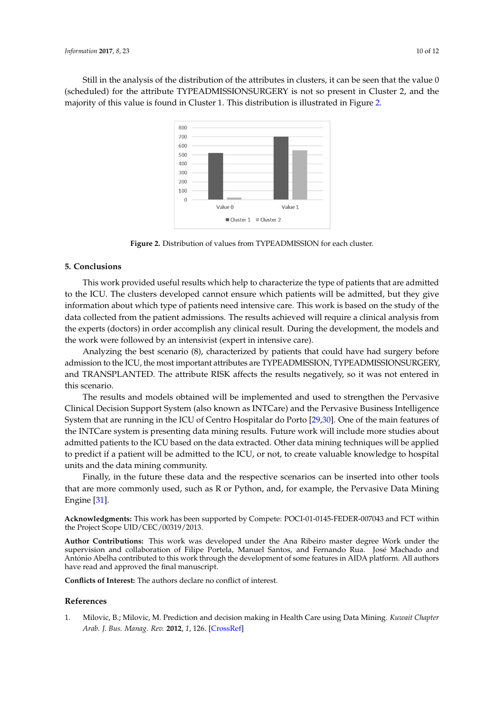<span id="page-9-1"></span>Still in the analysis of the distribution of the attributes in clusters, it can be seen that the value 0 (scheduled) for the attribute TYPEADMISSIONSURGERY is not so present in Cluster 2, and the majority of this value is found in Cluster 1. This distribution is illustrated in Figure [2.](#page-9-1)



**Figure 2.** Distribution of values from TYPEADMISSION for each cluster. **Figure 2.** Distribution of values from TYPEADMISSION for each cluster.

# **5. Conclusions 5. Conclusions**

This work provided useful results which help to characterize the type of patients that are This work provided useful results which help to characterize the type of patients that are admitted to the ICU. The clusters developed cannot ensure which patients will be admitted, but they give give information about which type of patients need intensive care. This work is based on the study information about which type of patients need intensive care. This work is based on the study of the of the data collected from the patient admissions. The results achieved will require a clinical analysis data collected from the patient admissions. The results achieved will require a clinical analysis from the experts (doctors) in order accomplish any clinical result. During the development, the models and the work were followed by an intensivist (expert in intensive care).

Analyzing the best scenario (8), characterized by patients that could have had surgery Analyzing the best scenario (8), characterized by patients that could have had surgery before admission to the ICU, the most important attributes are TYPEADMISSION, TYPEADMISSIONSURGERY, and TRANSPLANTED. The attribute RISK affects the results negatively, so it was not entered in this scenario.

The results and models obtained will be implemented and used to strengthen the Pervasive The results and models obtained will be implemented and used to strengthen the Pervasive Clinical Decision Support System (also known as INTCare) and the Pervasive Business Intelligence Clinical Decision Support System (also known as INTCare) and the Pervasive Business Intelligence System that are running in the ICU of Centro Hospitalar do Porto [29,30]. One of the main features of System that are running in the ICU of Centro Hospitalar do Porto [\[29](#page-11-4)[,30\]](#page-11-5). One of the main features of the INTCare system is presenting data mining results. Future work will include more studies about the INTCare system is presenting data mining results. Future work will include more studies about admitted patients to the ICU based on the data extracted. Other data mining techniques will be admitted patients to the ICU based on the data extracted. Other data mining techniques will be applied to predict if a patient will be admitted to the ICU, or not, to create valuable knowledge to hospital hospital units and the data mining community. units and the data mining community.

Finally, in the future these data and the respective scenarios can be inserted into other tools Finally, in the future these data and the respective scenarios can be inserted into other tools that are more commonly used, such as R or Python, and, for example, the Pervasive Data Mining that are more commonly used, such as R or Python, and, for example, the Pervasive Data Mining Engine [31]. Engine [\[31\]](#page-11-6).

**Acknowledgments:** This work has been supported by Compete: POCI-01-0145-FEDER-007043 and FCT within **Acknowledgments:** This work has been supported by Compete: POCI-01-0145-FEDER-007043 and FCT within the Project Scope UID/CEC/00319/2013. the Project Scope UID/CEC/00319/2013.

**Author Contributions:** This work was developed under the Ana Ribeiro master degree Work under the supervision and collaboration of Filipe Portela, Manuel Santos, and Fernando Rua. José Machado and António Abelha and António Abelha and António Abelha and António Abelha and António Abelha and António Abelha and António A António Abelha contributed to this work through the development of some features in AIDA platform. All authors<br>have read and approved the final manuscript  $\mathbf{11}$ have read and approved the final manuscript.

**Conflicts of Interest:** The authors declare no conflict of interest.

#### **References**

<span id="page-9-0"></span>1. Milovic, B.; Milovic, M. Prediction and decision making in Health Care using Data Mining. *Kuwait Chapter Arab. J. Bus. Manag. Rev.* **2012**, *1*, 126. [\[CrossRef\]](http://dx.doi.org/10.11591/ijphs.v1i2.1380)1. Milovic, B.; Milovic, M. Prediction and decision making in Health Care using Data Mining. *Kuwait Chapter*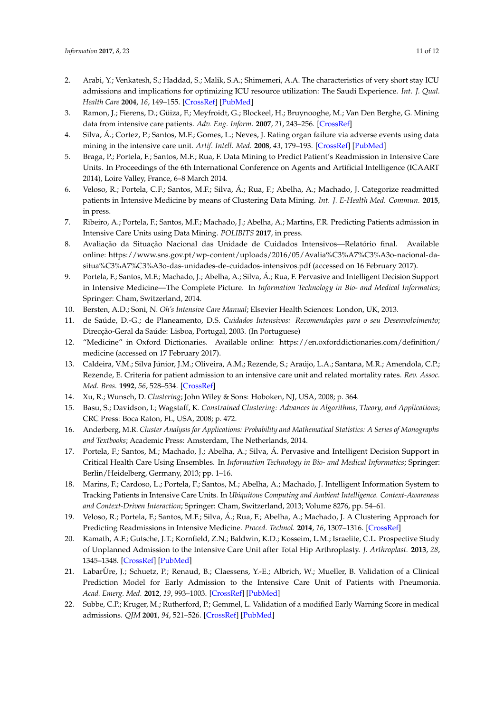- <span id="page-10-0"></span>2. Arabi, Y.; Venkatesh, S.; Haddad, S.; Malik, S.A.; Shimemeri, A.A. The characteristics of very short stay ICU admissions and implications for optimizing ICU resource utilization: The Saudi Experience. *Int. J. Qual. Health Care* **2004**, *16*, 149–155. [\[CrossRef\]](http://dx.doi.org/10.1093/intqhc/mzh025) [\[PubMed\]](http://www.ncbi.nlm.nih.gov/pubmed/15051709)
- <span id="page-10-1"></span>3. Ramon, J.; Fierens, D.; Güiza, F.; Meyfroidt, G.; Blockeel, H.; Bruynooghe, M.; Van Den Berghe, G. Mining data from intensive care patients. *Adv. Eng. Inform.* **2007**, *21*, 243–256. [\[CrossRef\]](http://dx.doi.org/10.1016/j.aei.2006.12.002)
- <span id="page-10-2"></span>4. Silva, Á.; Cortez, P.; Santos, M.F.; Gomes, L.; Neves, J. Rating organ failure via adverse events using data mining in the intensive care unit. *Artif. Intell. Med.* **2008**, *43*, 179–193. [\[CrossRef\]](http://dx.doi.org/10.1016/j.artmed.2008.03.010) [\[PubMed\]](http://www.ncbi.nlm.nih.gov/pubmed/18486459)
- <span id="page-10-3"></span>5. Braga, P.; Portela, F.; Santos, M.F.; Rua, F. Data Mining to Predict Patient's Readmission in Intensive Care Units. In Proceedings of the 6th International Conference on Agents and Artificial Intelligence (ICAART 2014), Loire Valley, France, 6–8 March 2014.
- <span id="page-10-4"></span>6. Veloso, R.; Portela, C.F.; Santos, M.F.; Silva, Á.; Rua, F.; Abelha, A.; Machado, J. Categorize readmitted patients in Intensive Medicine by means of Clustering Data Mining. *Int. J. E-Health Med. Commun.* **2015**, in press.
- <span id="page-10-5"></span>7. Ribeiro, A.; Portela, F.; Santos, M.F.; Machado, J.; Abelha, A.; Martins, F.R. Predicting Patients admission in Intensive Care Units using Data Mining. *POLIBITS* **2017**, in press.
- <span id="page-10-6"></span>8. Avaliação da Situação Nacional das Unidade de Cuidados Intensivos—Relatório final. Available online: [https://www.sns.gov.pt/wp-content/uploads/2016/05/Avalia%C3%A7%C3%A3o-nacional-da](https://www.sns.gov.pt/wp-content/uploads/2016/05/Avalia%C3%A7%C3%A3o-nacional-da-situa%C3%A7%C3%A3o-das-unidades-de-cuidados-intensivos.pdf)[situa%C3%A7%C3%A3o-das-unidades-de-cuidados-intensivos.pdf](https://www.sns.gov.pt/wp-content/uploads/2016/05/Avalia%C3%A7%C3%A3o-nacional-da-situa%C3%A7%C3%A3o-das-unidades-de-cuidados-intensivos.pdf) (accessed on 16 February 2017).
- <span id="page-10-7"></span>9. Portela, F.; Santos, M.F.; Machado, J.; Abelha, A.; Silva, Á.; Rua, F. Pervasive and Intelligent Decision Support in Intensive Medicine—The Complete Picture. In *Information Technology in Bio- and Medical Informatics*; Springer: Cham, Switzerland, 2014.
- <span id="page-10-8"></span>10. Bersten, A.D.; Soni, N. *Oh's Intensive Care Manual*; Elsevier Health Sciences: London, UK, 2013.
- <span id="page-10-9"></span>11. de Saúde, D.-G.; de Planeamento, D.S. *Cuidados Intensivos: Recomendações para o seu Desenvolvimento*; Direcção-Geral da Saúde: Lisboa, Portugal, 2003. (In Portuguese)
- <span id="page-10-10"></span>12. "Medicine" in Oxford Dictionaries. Available online: [https://en.oxforddictionaries.com/definition/](https://en.oxforddictionaries.com/definition/medicine) [medicine](https://en.oxforddictionaries.com/definition/medicine) (accessed on 17 February 2017).
- <span id="page-10-11"></span>13. Caldeira, V.M.; Silva Júnior, J.M.; Oliveira, A.M.; Rezende, S.; Araújo, L.A.; Santana, M.R.; Amendola, C.P.; Rezende, E. Criteria for patient admission to an intensive care unit and related mortality rates. *Rev. Assoc. Med. Bras.* **1992**, *56*, 528–534. [\[CrossRef\]](http://dx.doi.org/10.1590/S0104-42302010000500012)
- <span id="page-10-12"></span>14. Xu, R.; Wunsch, D. *Clustering*; John Wiley & Sons: Hoboken, NJ, USA, 2008; p. 364.
- <span id="page-10-13"></span>15. Basu, S.; Davidson, I.; Wagstaff, K. *Constrained Clustering: Advances in Algorithms, Theory, and Applications*; CRC Press: Boca Raton, FL, USA, 2008; p. 472.
- <span id="page-10-14"></span>16. Anderberg, M.R. *Cluster Analysis for Applications: Probability and Mathematical Statistics: A Series of Monographs and Textbooks*; Academic Press: Amsterdam, The Netherlands, 2014.
- <span id="page-10-15"></span>17. Portela, F.; Santos, M.; Machado, J.; Abelha, A.; Silva, Á. Pervasive and Intelligent Decision Support in Critical Health Care Using Ensembles. In *Information Technology in Bio- and Medical Informatics*; Springer: Berlin/Heidelberg, Germany, 2013; pp. 1–16.
- <span id="page-10-16"></span>18. Marins, F.; Cardoso, L.; Portela, F.; Santos, M.; Abelha, A.; Machado, J. Intelligent Information System to Tracking Patients in Intensive Care Units. In *Ubiquitous Computing and Ambient Intelligence. Context-Awareness and Context-Driven Interaction*; Springer: Cham, Switzerland, 2013; Volume 8276, pp. 54–61.
- <span id="page-10-17"></span>19. Veloso, R.; Portela, F.; Santos, M.F.; Silva, Á.; Rua, F.; Abelha, A.; Machado, J. A Clustering Approach for Predicting Readmissions in Intensive Medicine. *Proced. Technol.* **2014**, *16*, 1307–1316. [\[CrossRef\]](http://dx.doi.org/10.1016/j.protcy.2014.10.147)
- <span id="page-10-18"></span>20. Kamath, A.F.; Gutsche, J.T.; Kornfield, Z.N.; Baldwin, K.D.; Kosseim, L.M.; Israelite, C.L. Prospective Study of Unplanned Admission to the Intensive Care Unit after Total Hip Arthroplasty. *J. Arthroplast.* **2013**, *28*, 1345–1348. [\[CrossRef\]](http://dx.doi.org/10.1016/j.arth.2013.01.011) [\[PubMed\]](http://www.ncbi.nlm.nih.gov/pubmed/23507067)
- <span id="page-10-19"></span>21. LabarÙre, J.; Schuetz, P.; Renaud, B.; Claessens, Y.-E.; Albrich, W.; Mueller, B. Validation of a Clinical Prediction Model for Early Admission to the Intensive Care Unit of Patients with Pneumonia. *Acad. Emerg. Med.* **2012**, *19*, 993–1003. [\[CrossRef\]](http://dx.doi.org/10.1111/j.1553-2712.2012.01424.x) [\[PubMed\]](http://www.ncbi.nlm.nih.gov/pubmed/22978725)
- <span id="page-10-20"></span>22. Subbe, C.P.; Kruger, M.; Rutherford, P.; Gemmel, L. Validation of a modified Early Warning Score in medical admissions. *QJM* **2001**, *94*, 521–526. [\[CrossRef\]](http://dx.doi.org/10.1093/qjmed/94.10.521) [\[PubMed\]](http://www.ncbi.nlm.nih.gov/pubmed/11588210)